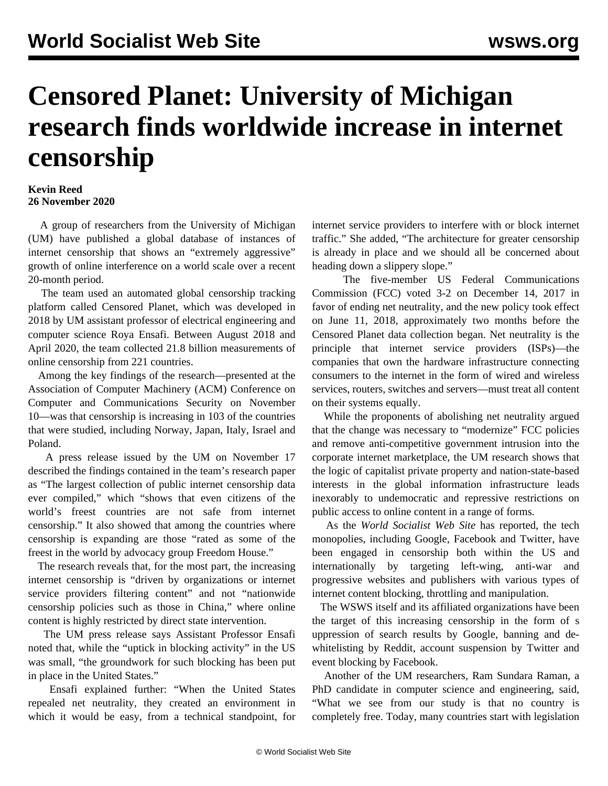## **Censored Planet: University of Michigan research finds worldwide increase in internet censorship**

## **Kevin Reed 26 November 2020**

 A group of researchers from the University of Michigan (UM) have published a global database of instances of internet censorship that shows an "extremely aggressive" growth of online interference on a world scale over a recent 20-month period.

 The team used an automated global censorship tracking platform called Censored Planet, which was developed in 2018 by UM assistant professor of electrical engineering and computer science Roya Ensafi. Between August 2018 and April 2020, the team collected 21.8 billion measurements of online censorship from 221 countries.

 Among the key findings of the research—presented at the Association of Computer Machinery (ACM) Conference on Computer and Communications Security on November 10—was that censorship is increasing in 103 of the countries that were studied, including Norway, Japan, Italy, Israel and Poland.

 A press release issued by the UM on November 17 described the findings contained in the team's [research](https://censoredplanet.org/censoredplanet) paper as "The largest collection of public internet censorship data ever compiled," which "shows that even citizens of the world's freest countries are not safe from internet censorship." It also showed that among the countries where censorship is expanding are those "rated as some of the freest in the world by advocacy group Freedom House."

 The research reveals that, for the most part, the increasing internet censorship is "driven by organizations or internet service providers filtering content" and not "nationwide censorship policies such as those in China," where online content is highly restricted by direct state intervention.

 The UM press release says Assistant Professor Ensafi noted that, while the "uptick in blocking activity" in the US was small, "the groundwork for such blocking has been put in place in the United States."

 Ensafi explained further: "When the United States repealed net neutrality, they created an environment in which it would be easy, from a technical standpoint, for internet service providers to interfere with or block internet traffic." She added, "The architecture for greater censorship is already in place and we should all be concerned about heading down a slippery slope."

 The five-member US Federal Communications Commission (FCC) voted 3-2 on December 14, 2017 in favor of ending net neutrality, and the new policy took effect on June 11, 2018, approximately two months before the Censored Planet data collection began. Net neutrality is the principle that internet service providers (ISPs)—the companies that own the hardware infrastructure connecting consumers to the internet in the form of wired and wireless services, routers, switches and servers—must treat all content on their systems equally.

 While the proponents of abolishing net neutrality argued that the change was necessary to "modernize" FCC policies and remove anti-competitive government intrusion into the corporate internet marketplace, the UM research shows that the logic of capitalist private property and nation-state-based interests in the global information infrastructure leads inexorably to undemocratic and repressive restrictions on public access to online content in a range of forms.

 As the *World Socialist Web Site* has reported, the tech monopolies, including [Google, Facebook and Twitter](/en/articles/2017/08/02/pers-a02.html), have been engaged in censorship both within the US and internationally by targeting left-wing, anti-war and progressive websites and publishers with various types of internet content blocking, throttling and manipulation.

 The WSWS itself and its affiliated organizations have been the target of this increasing censorship in the form of [s](/en/articles/2020/11/04/goog-n04.html) uppression of search results by Google, [banning and de](/en/articles/2020/09/05/cens-s05.html)[whitelisting](/en/articles/2020/09/05/cens-s05.html) by Reddit, [account suspension by Twitter](/en/articles/2020/11/20/twit-n20.html) and [event blocking by Facebook.](/en/articles/2020/11/18/cens-n18.html)

 Another of the UM researchers, Ram Sundara Raman, a PhD candidate in computer science and engineering, said, "What we see from our study is that no country is completely free. Today, many countries start with legislation